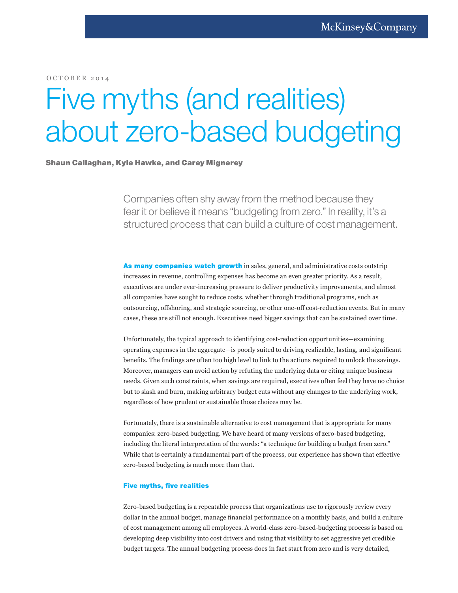$OCTOBER 2014$ 

# Five myths (and realities) about zero-based budgeting

### Shaun Callaghan, Kyle Hawke, and Carey Mignerey

Companies often shy away from the method because they fear it or believe it means "budgeting from zero." In reality, it's a structured process that can build a culture of cost management.

As many companies watch growth in sales, general, and administrative costs outstrip increases in revenue, controlling expenses has become an even greater priority. As a result, executives are under ever-increasing pressure to deliver productivity improvements, and almost all companies have sought to reduce costs, whether through traditional programs, such as outsourcing, offshoring, and strategic sourcing, or other one-off cost-reduction events. But in many cases, these are still not enough. Executives need bigger savings that can be sustained over time.

Unfortunately, the typical approach to identifying cost-reduction opportunities—examining operating expenses in the aggregate—is poorly suited to driving realizable, lasting, and significant benefits. The findings are often too high level to link to the actions required to unlock the savings. Moreover, managers can avoid action by refuting the underlying data or citing unique business hereds. Given such constraints, when savings are required, executives often feel they have no choice but to slash and burn, making arbitrary budget cuts without any changes to the underlying work, regardless of how prudent or sustainable those choices may be.

Fortunately, there is a sustainable alternative to cost management that is appropriate for many companies: zero-based budgeting. We have heard of many versions of zero-based budgeting, including the literal interpretation of the words: "a technique for building a budget from zero." While that is certainly a fundamental part of the process, our experience has shown that effective zero-based budgeting is much more than that.

## Five myths, five realities

Zero-based budgeting is a repeatable process that organizations use to rigorously review every dollar in the annual budget, manage financial performance on a monthly basis, and build a culture of cost management among all employees. A world-class zero-based-budgeting process is based on developing deep visibility into cost drivers and using that visibility to set aggressive yet credible budget targets. The annual budgeting process does in fact start from zero and is very detailed,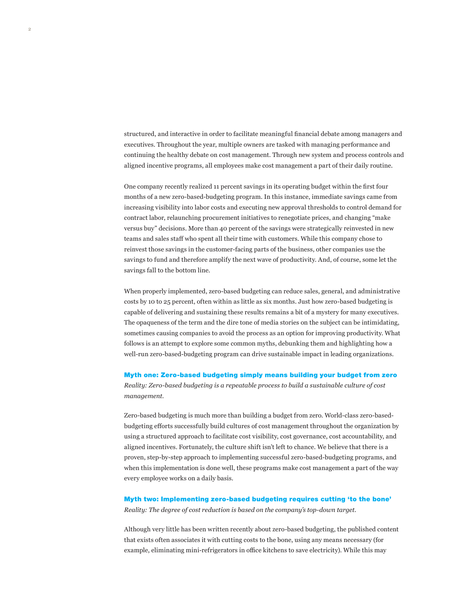structured, and interactive in order to facilitate meaningful financial debate among managers and executives. Throughout the year, multiple owners are tasked with managing performance and continuing the healthy debate on cost management. Through new system and process controls and aligned incentive programs, all employees make cost management a part of their daily routine.

One company recently realized 11 percent savings in its operating budget within the first four months of a new zero-based-budgeting program. In this instance, immediate savings came from increasing visibility into labor costs and executing new approval thresholds to control demand for contract labor, relaunching procurement initiatives to renegotiate prices, and changing "make versus buy" decisions. More than 40 percent of the savings were strategically reinvested in new teams and sales staff who spent all their time with customers. While this company chose to reinvest those savings in the customer-facing parts of the business, other companies use the savings to fund and therefore amplify the next wave of productivity. And, of course, some let the savings fall to the bottom line.

When properly implemented, zero-based budgeting can reduce sales, general, and administrative costs by 10 to 25 percent, often within as little as six months. Just how zero-based budgeting is capable of delivering and sustaining these results remains a bit of a mystery for many executives. The opaqueness of the term and the dire tone of media stories on the subject can be intimidating, sometimes causing companies to avoid the process as an option for improving productivity. What follows is an attempt to explore some common myths, debunking them and highlighting how a well-run zero-based-budgeting program can drive sustainable impact in leading organizations.

#### Myth one: Zero-based budgeting simply means building your budget from zero

*Reality: Zero-based budgeting is a repeatable process to build a sustainable culture of cost management.*

Zero-based budgeting is much more than building a budget from zero. World-class zero-basedbudgeting efforts successfully build cultures of cost management throughout the organization by using a structured approach to facilitate cost visibility, cost governance, cost accountability, and aligned incentives. Fortunately, the culture shift isn't left to chance. We believe that there is a proven, step-by-step approach to implementing successful zero-based-budgeting programs, and when this implementation is done well, these programs make cost management a part of the way every employee works on a daily basis.

## Myth two: Implementing zero-based budgeting requires cutting 'to the bone' *Reality: The degree of cost reduction is based on the company's top-down target.*

Although very little has been written recently about zero-based budgeting, the published content that exists often associates it with cutting costs to the bone, using any means necessary (for example, eliminating mini-refrigerators in office kitchens to save electricity). While this may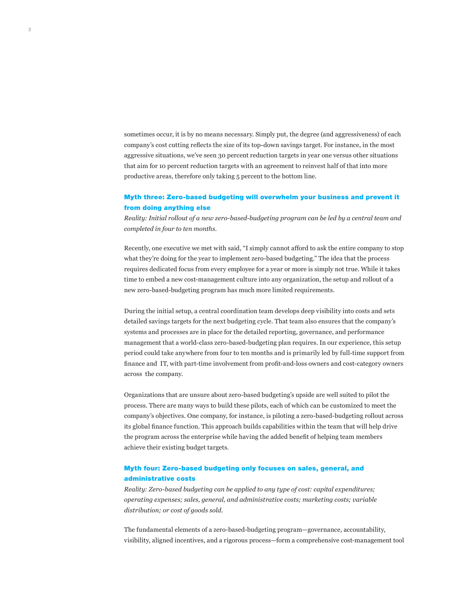sometimes occur, it is by no means necessary. Simply put, the degree (and aggressiveness) of each company's cost cutting reflects the size of its top-down savings target. For instance, in the most aggressive situations, we've seen 30 percent reduction targets in year one versus other situations that aim for 10 percent reduction targets with an agreement to reinvest half of that into more productive areas, therefore only taking 5 percent to the bottom line.

# Myth three: Zero-based budgeting will overwhelm your business and prevent it from doing anything else

*Reality: Initial rollout of a new zero-based-budgeting program can be led by a central team and completed in four to ten months.*

Recently, one executive we met with said, "I simply cannot afford to ask the entire company to stop what they're doing for the year to implement zero-based budgeting." The idea that the process requires dedicated focus from every employee for a year or more is simply not true. While it takes time to embed a new cost-management culture into any organization, the setup and rollout of a new zero-based-budgeting program has much more limited requirements.

During the initial setup, a central coordination team develops deep visibility into costs and sets detailed savings targets for the next budgeting cycle. That team also ensures that the company's systems and processes are in place for the detailed reporting, governance, and performance management that a world-class zero-based-budgeting plan requires. In our experience, this setup period could take anywhere from four to ten months and is primarily led by full-time support from finance and IT, with part-time involvement from profit-and-loss owners and cost-category owners across the company.

Organizations that are unsure about zero-based budgeting's upside are well suited to pilot the process. There are many ways to build these pilots, each of which can be customized to meet the company's objectives. One company, for instance, is piloting a zero-based-budgeting rollout across its global finance function. This approach builds capabilities within the team that will help drive the program across the enterprise while having the added benefit of helping team members achieve their existing budget targets.

# Myth four: Zero-based budgeting only focuses on sales, general, and administrative costs

*Reality: Zero-based budgeting can be applied to any type of cost: capital expenditures; operating expenses; sales, general, and administrative costs; marketing costs; variable distribution; or cost of goods sold.*

The fundamental elements of a zero-based-budgeting program—governance, accountability, visibility, aligned incentives, and a rigorous process—form a comprehensive cost-management tool